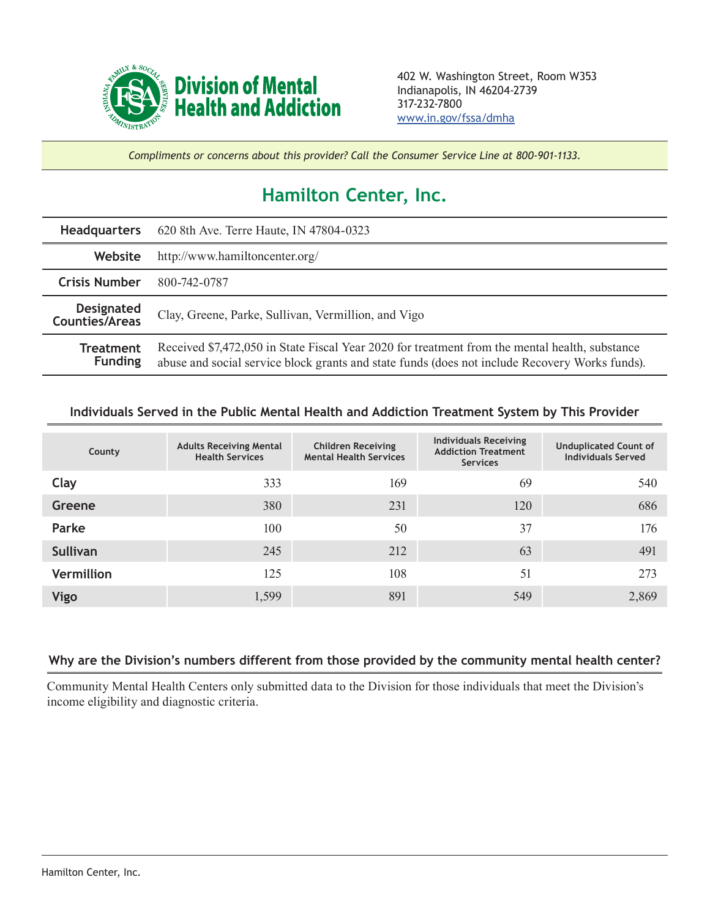

*Compliments or concerns about this provider? Call the Consumer Service Line at 800-901-1133.*

## **Hamilton Center, Inc.**

| <b>Headquarters</b>                        | 620 8th Ave. Terre Haute, IN 47804-0323                                                                                                                                                          |  |  |  |
|--------------------------------------------|--------------------------------------------------------------------------------------------------------------------------------------------------------------------------------------------------|--|--|--|
| Website                                    | http://www.hamiltoncenter.org/                                                                                                                                                                   |  |  |  |
| <b>Crisis Number</b>                       | 800-742-0787                                                                                                                                                                                     |  |  |  |
| <b>Designated</b><br><b>Counties/Areas</b> | Clay, Greene, Parke, Sullivan, Vermillion, and Vigo                                                                                                                                              |  |  |  |
| <b>Treatment</b><br><b>Funding</b>         | Received \$7,472,050 in State Fiscal Year 2020 for treatment from the mental health, substance<br>abuse and social service block grants and state funds (does not include Recovery Works funds). |  |  |  |

## **Individuals Served in the Public Mental Health and Addiction Treatment System by This Provider**

| County            | <b>Adults Receiving Mental</b><br><b>Health Services</b> | <b>Children Receiving</b><br><b>Mental Health Services</b> | <b>Individuals Receiving</b><br><b>Addiction Treatment</b><br><b>Services</b> | <b>Unduplicated Count of</b><br><b>Individuals Served</b> |
|-------------------|----------------------------------------------------------|------------------------------------------------------------|-------------------------------------------------------------------------------|-----------------------------------------------------------|
| Clay              | 333                                                      | 169                                                        | 69                                                                            | 540                                                       |
| Greene            | 380                                                      | 231                                                        | 120                                                                           | 686                                                       |
| Parke             | 100                                                      | 50                                                         | 37                                                                            | 176                                                       |
| <b>Sullivan</b>   | 245                                                      | 212                                                        | 63                                                                            | 491                                                       |
| <b>Vermillion</b> | 125                                                      | 108                                                        | 51                                                                            | 273                                                       |
| <b>Vigo</b>       | 1,599                                                    | 891                                                        | 549                                                                           | 2,869                                                     |

## **Why are the Division's numbers different from those provided by the community mental health center?**

Community Mental Health Centers only submitted data to the Division for those individuals that meet the Division's income eligibility and diagnostic criteria.